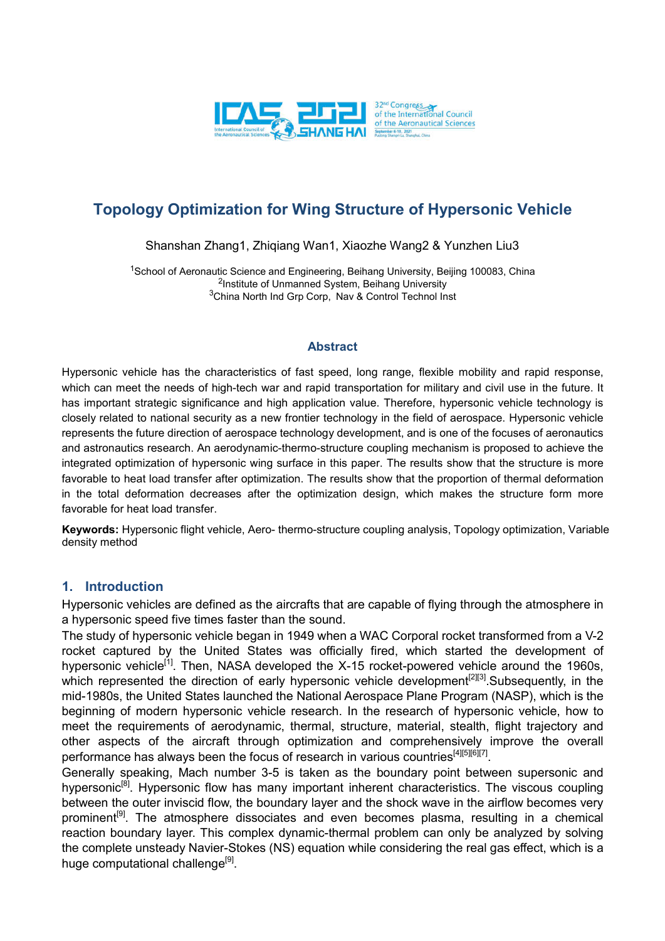

# **Topology Optimization for Wing Structure of Hypersonic Vehicle**

Shanshan Zhang1, Zhiqiang Wan1, Xiaozhe Wang2 & Yunzhen Liu3

<sup>1</sup>School of Aeronautic Science and Engineering, Beihang University, Beijing 100083, China <sup>2</sup>Institute of Unmanned System, Beihang University 3China North Ind Grp Corp, Nav & Control Technol Inst

#### **Abstract**

Hypersonic vehicle has the characteristics of fast speed, long range, flexible mobility and rapid response, which can meet the needs of high-tech war and rapid transportation for military and civil use in the future. It has important strategic significance and high application value. Therefore, hypersonic vehicle technology is closely related to national security as a new frontier technology in the field of aerospace. Hypersonic vehicle represents the future direction of aerospace technology development, and is one of the focuses of aeronautics and astronautics research. An aerodynamic-thermo-structure coupling mechanism is proposed to achieve the integrated optimization of hypersonic wing surface in this paper. The results show that the structure is more favorable to heat load transfer after optimization. The results show that the proportion of thermal deformation in the total deformation decreases after the optimization design, which makes the structure form more favorable for heat load transfer.

**Keywords:** Hypersonic flight vehicle, Aero- thermo-structure coupling analysis, Topology optimization, Variable density method

### **1. Introduction**

Hypersonic vehicles are defined as the aircrafts that are capable of flying through the atmosphere in a hypersonic speed five times faster than the sound.

The study of hypersonic vehicle began in 1949 when a WAC Corporal rocket transformed from a V-2 rocket captured by the United States was officially fired, which started the development of hypersonic vehicle<sup>[1]</sup>. Then, NASA developed the X-15 rocket-powered vehicle around the 1960s, which represented the direction of early hypersonic vehicle development<sup>[2][3]</sup>. Subsequently, in the mid-1980s, the United States launched the National Aerospace Plane Program (NASP), which is the beginning of modern hypersonic vehicle research. In the research of hypersonic vehicle, how to meet the requirements of aerodynamic, thermal, structure, material, stealth, flight trajectory and other aspects of the aircraft through optimization and comprehensively improve the overall performance has always been the focus of research in various countries<sup>[4][5][6][7]</sup>.

Generally speaking, Mach number 3-5 is taken as the boundary point between supersonic and hypersonic<sup>[8]</sup>. Hypersonic flow has many important inherent characteristics. The viscous coupling between the outer inviscid flow, the boundary layer and the shock wave in the airflow becomes very prominent<sup>[9]</sup>. The atmosphere dissociates and even becomes plasma, resulting in a chemical reaction boundary layer. This complex dynamic-thermal problem can only be analyzed by solving the complete unsteady Navier-Stokes (NS) equation while considering the real gas effect, which is a huge computational challenge<sup>[9]</sup>.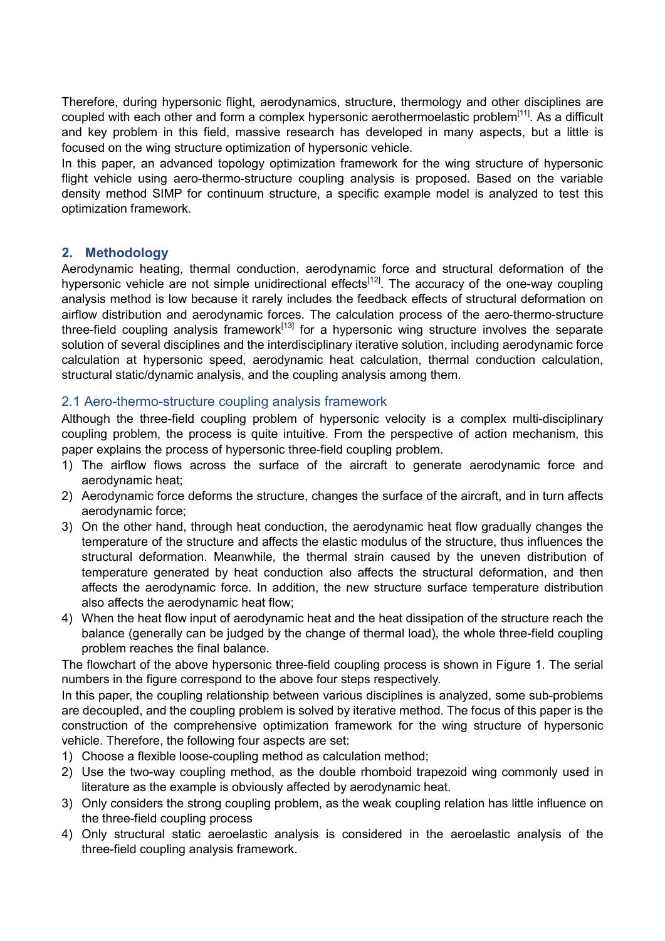Therefore, during hypersonic flight, aerodynamics, structure, thermology and other disciplines are coupled with each other and form a complex hypersonic aerothermoelastic problem<sup>[11]</sup>. As a difficult and key problem in this field, massive research has developed in many aspects, but a little is focused on the wing structure optimization of hypersonic vehicle.

In this paper, an advanced topology optimization framework for the wing structure of hypersonic flight vehicle using aero-thermo-structure coupling analysis is proposed. Based on the variable density method SIMP for continuum structure, a specific example model is analyzed to test this optimization framework.

### **2. Methodology**

Aerodynamic heating, thermal conduction, aerodynamic force and structural deformation of the hypersonic vehicle are not simple unidirectional effects<sup>[12]</sup>. The accuracy of the one-way coupling analysis method is low because it rarely includes the feedback effects of structural deformation on airflow distribution and aerodynamic forces. The calculation process of the aero-thermo-structure three-field coupling analysis framework<sup>[13]</sup> for a hypersonic wing structure involves the separate solution of several disciplines and the interdisciplinary iterative solution, including aerodynamic force calculation at hypersonic speed, aerodynamic heat calculation, thermal conduction calculation, structural static/dynamic analysis, and the coupling analysis among them.

#### 2.1 Aero-thermo-structure coupling analysis framework

Although the three-field coupling problem of hypersonic velocity is a complex multi-disciplinary coupling problem, the process is quite intuitive. From the perspective of action mechanism, this paper explains the process of hypersonic three-field coupling problem.

- 1) The airflow flows across the surface of the aircraft to generate aerodynamic force and aerodynamic heat;
- 2) Aerodynamic force deforms the structure, changes the surface of the aircraft, and in turn affects aerodynamic force;
- 3) On the other hand, through heat conduction, the aerodynamic heat flow gradually changes the temperature of the structure and affects the elastic modulus of the structure, thus influences the structural deformation. Meanwhile, the thermal strain caused by the uneven distribution of temperature generated by heat conduction also affects the structural deformation, and then affects the aerodynamic force. In addition, the new structure surface temperature distribution also affects the aerodynamic heat flow;
- 4) When the heat flow input of aerodynamic heat and the heat dissipation of the structure reach the balance (generally can be judged by the change of thermal load), the whole three-field coupling problem reaches the final balance.

The flowchart of the above hypersonic three-field coupling process is shown in Figure 1. The serial numbers in the figure correspond to the above four steps respectively.

In this paper, the coupling relationship between various disciplines is analyzed, some sub-problems are decoupled, and the coupling problem is solved by iterative method. The focus of this paper is the construction of the comprehensive optimization framework for the wing structure of hypersonic vehicle. Therefore, the following four aspects are set:

- 1) Choose a flexible loose-coupling method as calculation method;
- 2) Use the two-way coupling method, as the double rhomboid trapezoid wing commonly used in literature as the example is obviously affected by aerodynamic heat.
- 3) Only considers the strong coupling problem, as the weak coupling relation has little influence on the three-field coupling process
- 4) Only structural static aeroelastic analysis is considered in the aeroelastic analysis of the three-field coupling analysis framework.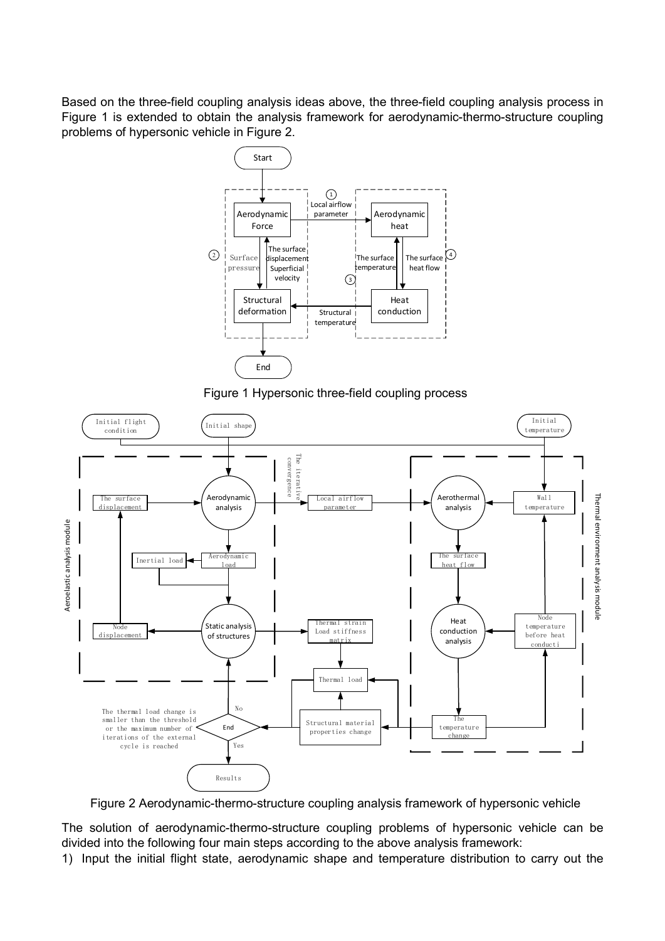Based on the three-field coupling analysis ideas above, the three-field coupling analysis process in Figure 1 is extended to obtain the analysis framework for aerodynamic-thermo-structure coupling problems of hypersonic vehicle in Figure 2.



Figure 1 Hypersonic three-field coupling process



Figure 2 Aerodynamic-thermo-structure coupling analysis framework of hypersonic vehicle

The solution of aerodynamic-thermo-structure coupling problems of hypersonic vehicle can be divided into the following four main steps according to the above analysis framework:

1) Input the initial flight state, aerodynamic shape and temperature distribution to carry out the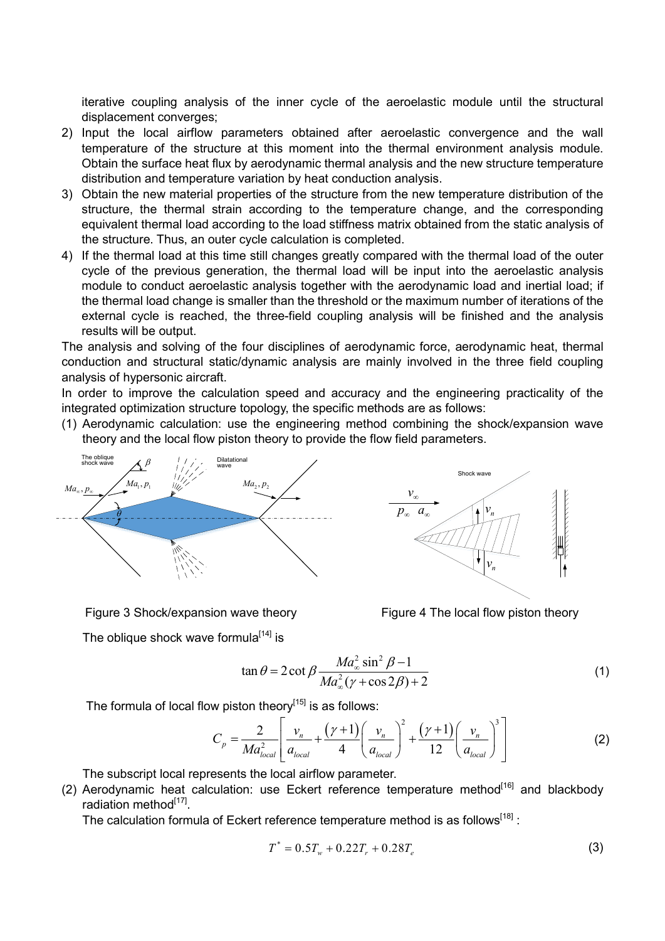iterative coupling analysis of the inner cycle of the aeroelastic module until the structural displacement converges;

- 2) Input the local airflow parameters obtained after aeroelastic convergence and the wall temperature of the structure at this moment into the thermal environment analysis module. Obtain the surface heat flux by aerodynamic thermal analysis and the new structure temperature distribution and temperature variation by heat conduction analysis.
- 3) Obtain the new material properties of the structure from the new temperature distribution of the structure, the thermal strain according to the temperature change, and the corresponding equivalent thermal load according to the load stiffness matrix obtained from the static analysis of the structure. Thus, an outer cycle calculation is completed.
- 4) If the thermal load at this time still changes greatly compared with the thermal load of the outer cycle of the previous generation, the thermal load will be input into the aeroelastic analysis module to conduct aeroelastic analysis together with the aerodynamic load and inertial load; if the thermal load change is smaller than the threshold or the maximum number of iterations of the external cycle is reached, the three-field coupling analysis will be finished and the analysis results will be output.

The analysis and solving of the four disciplines of aerodynamic force, aerodynamic heat, thermal conduction and structural static/dynamic analysis are mainly involved in the three field coupling analysis of hypersonic aircraft.

In order to improve the calculation speed and accuracy and the engineering practicality of the integrated optimization structure topology, the specific methods are as follows:

(1) Aerodynamic calculation: use the engineering method combining the shock/expansion wave theory and the local flow piston theory to provide the flow field parameters.



Shock wavewave *v* **WANNAMA**  $p_{\infty}$   $a_{\infty}$   $\left| \cdot \right| v_{n}$ *n v*

Figure 3 Shock/expansion wave theory

The oblique shock wave formula<sup>[14]</sup> is

Figure 4 The local flow piston theory

$$
\tan \theta = 2 \cot \beta \frac{Ma_{\infty}^2 \sin^2 \beta - 1}{Ma_{\infty}^2 (\gamma + \cos 2\beta) + 2}
$$
 (1)

The formula of local flow piston theory $[15]$  is as follows:

$$
C_p = \frac{2}{Ma_{local}^2} \left[ \frac{v_n}{a_{local}} + \frac{(\gamma + 1)}{4} \left( \frac{v_n}{a_{local}} \right)^2 + \frac{(\gamma + 1)}{12} \left( \frac{v_n}{a_{local}} \right)^3 \right]
$$
(2)

The subscript local represents the local airflow parameter.

(2) Aerodynamic heat calculation: use Eckert reference temperature method<sup>[16]</sup> and blackbody radiation method<sup>[17]</sup>.

The calculation formula of Eckert reference temperature method is as follows<sup>[18]</sup> :

$$
T^* = 0.5T_w + 0.22T_r + 0.28T_e
$$
 (3)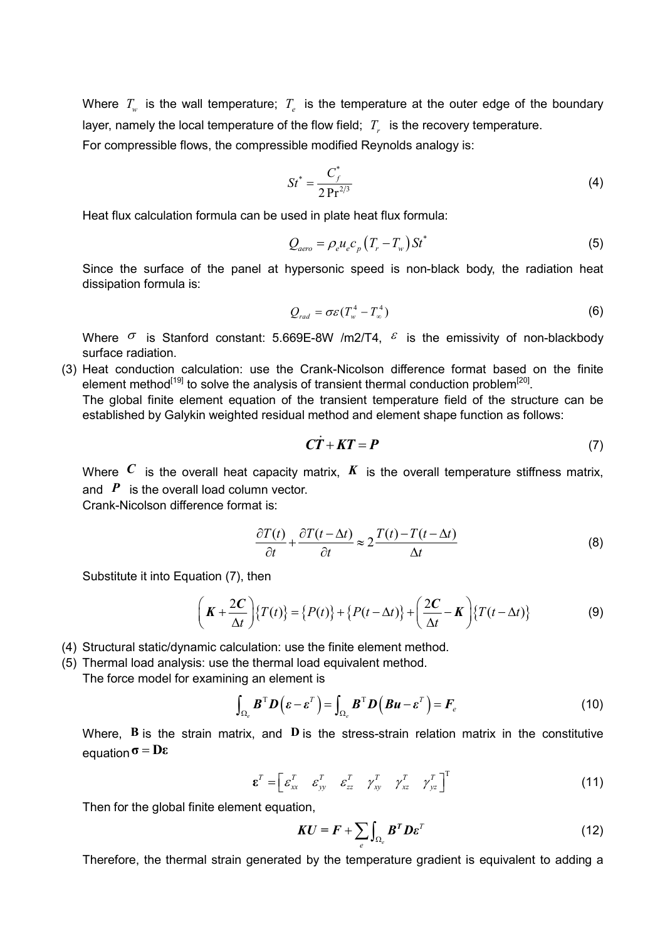Where  $T_w$  is the wall temperature;  $T_e$  is the temperature at the outer edge of the boundary layer, namely the local temperature of the flow field;  $T<sub>r</sub>$  is the recovery temperature. For compressible flows, the compressible modified Reynolds analogy is:

$$
St^* = \frac{C_f^*}{2 \Pr^{2/3}}
$$
 (4)

Heat flux calculation formula can be used in plate heat flux formula:

$$
Q_{aero} = \rho_e u_e c_p \left( T_r - T_w \right) S t^* \tag{5}
$$

Since the surface of the panel at hypersonic speed is non-black body, the radiation heat dissipation formula is:

$$
Q_{rad} = \sigma \varepsilon (T_w^4 - T_\infty^4) \tag{6}
$$

Where  $\sigma$  is Stanford constant: 5.669E-8W /m2/T4,  $\epsilon$  is the emissivity of non-blackbody surface radiation.

(3) Heat conduction calculation: use the Crank-Nicolson difference format based on the finite element method $^{[19]}$  to solve the analysis of transient thermal conduction problem $^{[20]}$ .

The global finite element equation of the transient temperature field of the structure can be established by Galykin weighted residual method and element shape function as follows:

$$
\mathbf{C}\dot{\mathbf{T}} + \mathbf{K}\mathbf{T} = \mathbf{P} \tag{7}
$$

Where  $C$  is the overall heat capacity matrix,  $K$  is the overall temperature stiffness matrix, and **P** is the overall load column vector.

Crank-Nicolson difference format is:

$$
\frac{\partial T(t)}{\partial t} + \frac{\partial T(t - \Delta t)}{\partial t} \approx 2 \frac{T(t) - T(t - \Delta t)}{\Delta t}
$$
(8)

Substitute it into Equation (7), then

$$
\left(\boldsymbol{K} + \frac{2\boldsymbol{C}}{\Delta t}\right) \{T(t)\} = \{P(t)\} + \{P(t - \Delta t)\} + \left(\frac{2\boldsymbol{C}}{\Delta t} - \boldsymbol{K}\right) \{T(t - \Delta t)\}
$$
(9)

- (4) Structural static/dynamic calculation: use the finite element method.
- (5) Thermal load analysis: use the thermal load equivalent method.

The force model for examining an element is

$$
\int_{\Omega_e} \boldsymbol{B}^{\mathrm{T}} \boldsymbol{D} \left( \boldsymbol{\varepsilon} - \boldsymbol{\varepsilon}^{\mathrm{T}} \right) = \int_{\Omega_e} \boldsymbol{B}^{\mathrm{T}} \boldsymbol{D} \left( \boldsymbol{B} \boldsymbol{u} - \boldsymbol{\varepsilon}^{\mathrm{T}} \right) = \boldsymbol{F}_e \tag{10}
$$

Where, **B** is the strain matrix, and **D** is the stress-strain relation matrix in the constitutive equation**σ Dε**

$$
\boldsymbol{\varepsilon}^T = \begin{bmatrix} \varepsilon_{xx}^T & \varepsilon_{yy}^T & \varepsilon_{zz}^T & \gamma_{xy}^T & \gamma_{xz}^T & \gamma_{yz}^T \end{bmatrix}^T
$$
 (11)

Then for the global finite element equation,

$$
KU = F + \sum_{e} \int_{\Omega_e} B^T D \varepsilon^T
$$
 (12)

Therefore, the thermal strain generated by the temperature gradient is equivalent to adding a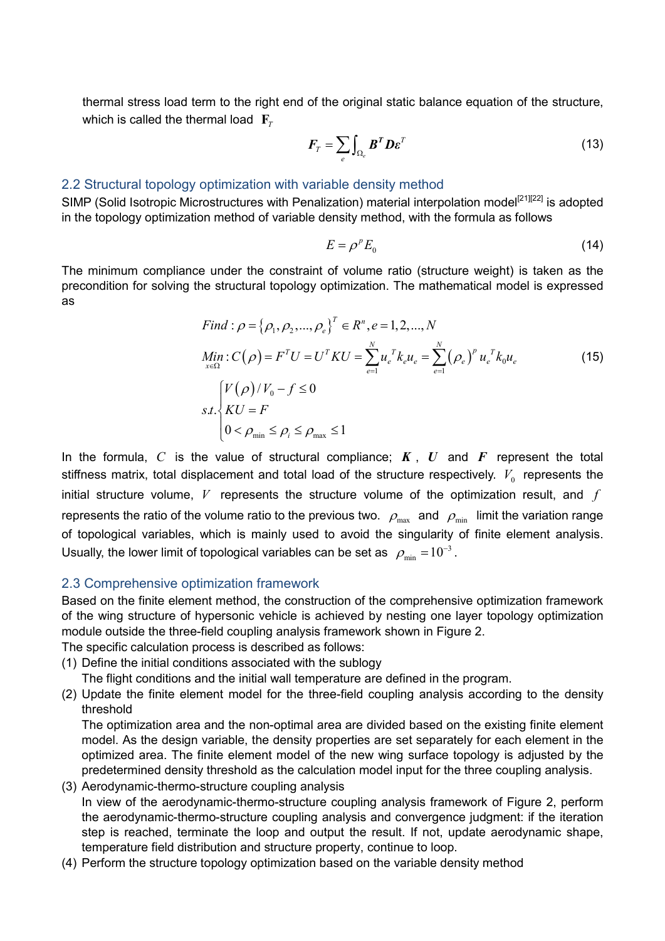thermal stress load term to the right end of the original static balance equation of the structure, which is called the thermal load  $\mathbf{F}_r$ 

$$
F_T = \sum_e \int_{\Omega_e} B^T D \varepsilon^T \tag{13}
$$

#### 2.2 Structural topology optimization with variable density method

SIMP (Solid Isotropic Microstructures with Penalization) material interpolation model<sup>[21][22]</sup> is adopted in the topology optimization method of variable density method, with the formula as follows

$$
E = \rho^{\nu} E_0 \tag{14}
$$

The minimum compliance under the constraint of volume ratio (structure weight) is taken as the precondition for solving the structural topology optimization. The mathematical model is expressed as

Find: 
$$
\rho = {\rho_1, \rho_2, ..., \rho_e}^T \in R^n, e = 1, 2, ..., N
$$
  
\n
$$
\begin{aligned}\n\text{Min: } C(\rho) &= F^T U = U^T K U = \sum_{e=1}^N u_e^T k_e u_e = \sum_{e=1}^N (\rho_e)^p u_e^T k_0 u_e \\
\text{s.t.} \begin{cases}\nV(\rho)/V_0 - f \le 0 \\
KU = F \\
0 < \rho_{\min} \le \rho_i \le \rho_{\max} \le 1\n\end{cases}\n\end{aligned}
$$
\n(15)

In the formula, *C* is the value of structural compliance; *K* , *U* and *F* represent the total stiffness matrix, total displacement and total load of the structure respectively.  $V_0$  represents the initial structure volume, *V* represents the structure volume of the optimization result, and *f* represents the ratio of the volume ratio to the previous two.  $\rho_{\text{max}}$  and  $\rho_{\text{min}}$  limit the variation range of topological variables, which is mainly used to avoid the singularity of finite element analysis. Usually, the lower limit of topological variables can be set as  $\rm \ \rho_{min}$   $=$   $\rm 10^{-3}$  .

#### 2.3 Comprehensive optimization framework

Based on the finite element method, the construction of the comprehensive optimization framework of the wing structure of hypersonic vehicle is achieved by nesting one layer topology optimization module outside the three-field coupling analysis framework shown in Figure 2.

The specific calculation process is described as follows:

- (1) Define the initial conditions associated with the sublogy
	- The flight conditions and the initial wall temperature are defined in the program.
- (2) Update the finite element model for the three-field coupling analysis according to the density threshold

The optimization area and the non-optimal area are divided based on the existing finite element model. As the design variable, the density properties are set separately for each element in the optimized area. The finite element model of the new wing surface topology is adjusted by the predetermined density threshold as the calculation model input for the three coupling analysis.

- (3) Aerodynamic-thermo-structure coupling analysis In view of the aerodynamic-thermo-structure coupling analysis framework of Figure 2, perform the aerodynamic-thermo-structure coupling analysis and convergence judgment: if the iteration step is reached, terminate the loop and output the result. If not, update aerodynamic shape, temperature field distribution and structure property, continue to loop.
- (4) Perform the structure topology optimization based on the variable density method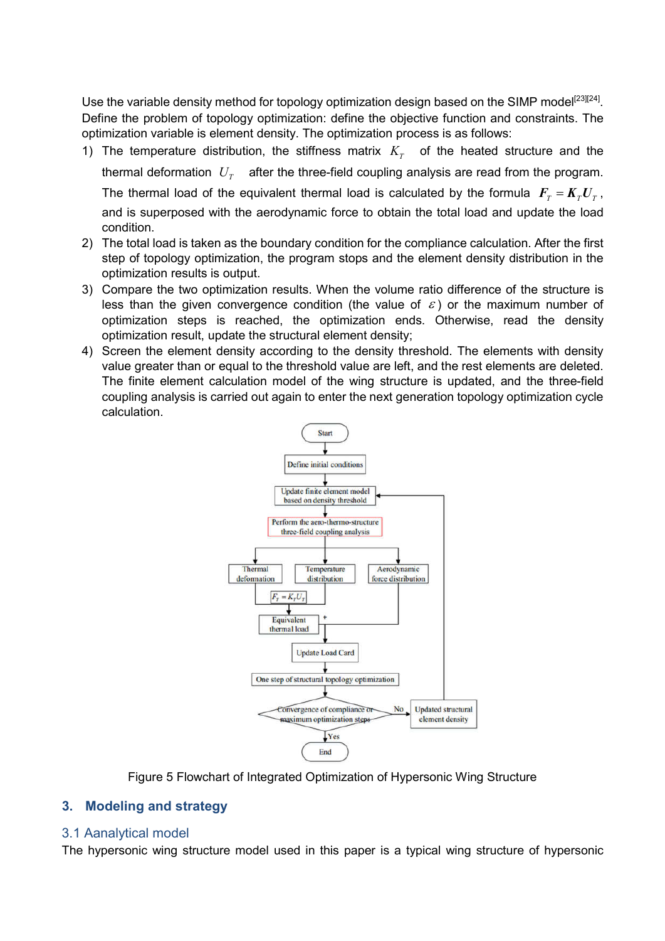Use the variable density method for topology optimization design based on the SIMP model<sup>[23][24]</sup>. Define the problem of topology optimization: define the objective function and constraints. The optimization variable is element density. The optimization process is as follows:

1) The temperature distribution, the stiffness matrix  $K<sub>T</sub>$  of the heated structure and the

thermal deformation  $U<sub>r</sub>$  after the three-field coupling analysis are read from the program.

The thermal load of the equivalent thermal load is calculated by the formula  $F<sub>T</sub> = K<sub>T</sub> U<sub>T</sub>$ ,

and is superposed with the aerodynamic force to obtain the total load and update the load condition.

- 2) The total load is taken as the boundary condition for the compliance calculation. After the first step of topology optimization, the program stops and the element density distribution in the optimization results is output.
- 3) Compare the two optimization results. When the volume ratio difference of the structure is less than the given convergence condition (the value of  $\varepsilon$ ) or the maximum number of optimization steps is reached, the optimization ends. Otherwise, read the density optimization result, update the structural element density;
- 4) Screen the element density according to the density threshold. The elements with density value greater than or equal to the threshold value are left, and the rest elements are deleted. The finite element calculation model of the wing structure is updated, and the three-field coupling analysis is carried out again to enter the next generation topology optimization cycle calculation.



Figure 5 Flowchart of Integrated Optimization of Hypersonic Wing Structure

### **3. Modeling and strategy**

### 3.1 Aanalytical model

The hypersonic wing structure model used in this paper is a typical wing structure of hypersonic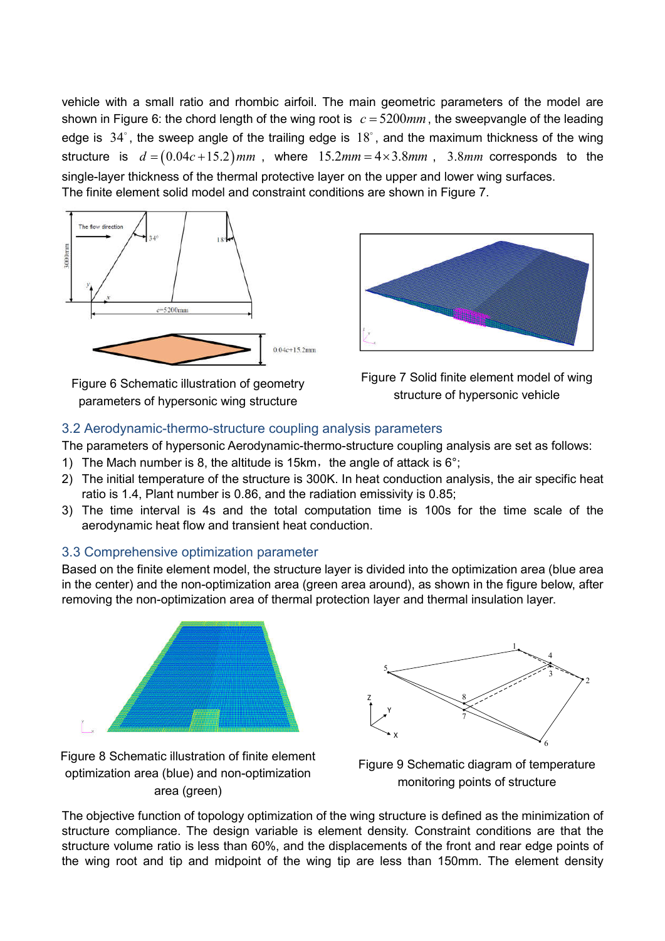vehicle with a small ratio and rhombic airfoil. The main geometric parameters of the model are shown in Figure 6: the chord length of the wing root is  $c = 5200$   $mm$ , the sweepvangle of the leading edge is  $34^{\circ}$ , the sweep angle of the trailing edge is  $18^{\circ}$ , and the maximum thickness of the wing structure is  $d = (0.04c + 15.2)$  mm, where  $15.2$  mm =  $4 \times 3.8$  mm, 3.8 mm corresponds to the single-layer thickness of the thermal protective layer on the upper and lower wing surfaces. The finite element solid model and constraint conditions are shown in Figure 7.



Figure 6 Schematic illustration of geometry parameters of hypersonic wing structure





# 3.2 Aerodynamic-thermo-structure coupling analysis parameters

The parameters of hypersonic Aerodynamic-thermo-structure coupling analysis are set as follows:

- 1) The Mach number is 8, the altitude is 15km, the angle of attack is  $6^{\circ}$ ;
- 2) The initial temperature of the structure is 300K. In heat conduction analysis, the air specific heat ratio is 1.4, Plant number is 0.86, and the radiation emissivity is 0.85;
- 3) The time interval is 4s and the total computation time is 100s for the time scale of the aerodynamic heat flow and transient heat conduction.

# 3.3 Comprehensive optimization parameter

Based on the finite element model, the structure layer is divided into the optimization area (blue area in the center) and the non-optimization area (green area around), as shown in the figure below, after removing the non-optimization area of thermal protection layer and thermal insulation layer.



Z Y X 1 2 3 4 5 6 7 8

Figure 8 Schematic illustration of finite element optimization area (blue) and non-optimization area (green)

Figure 9 Schematic diagram of temperature monitoring points of structure

The objective function of topology optimization of the wing structure is defined as the minimization of structure compliance. The design variable is element density. Constraint conditions are that the structure volume ratio is less than 60%, and the displacements of the front and rear edge points of the wing root and tip and midpoint of the wing tip are less than 150mm. The element density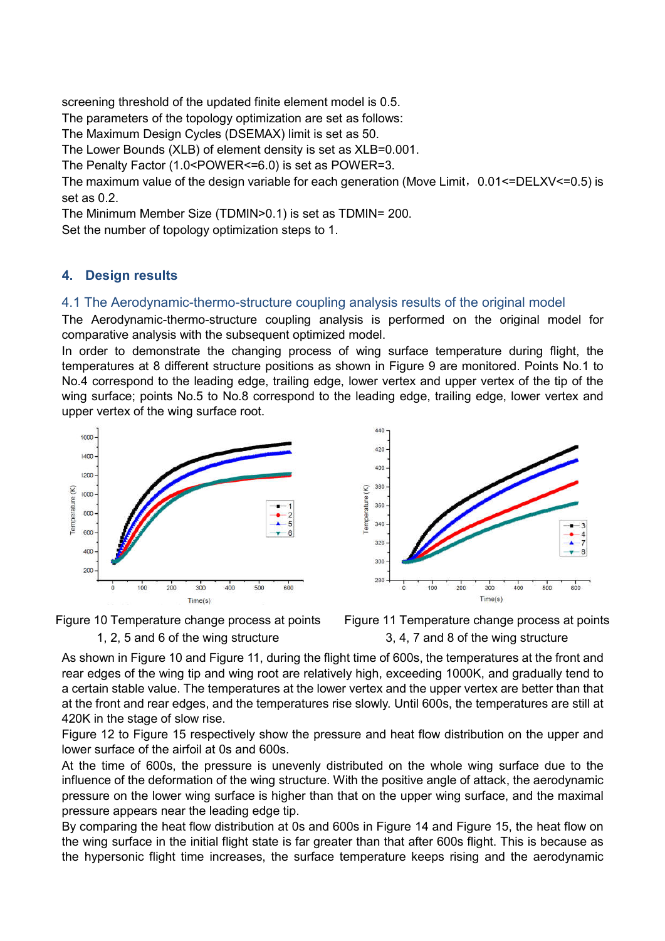screening threshold of the updated finite element model is 0.5.

The parameters of the topology optimization are set as follows:

The Maximum Design Cycles (DSEMAX) limit is set as 50.

The Lower Bounds (XLB) of element density is set as XLB=0.001.

The Penalty Factor (1.0<POWER<=6.0) is set as POWER=3.

The maximum value of the design variable for each generation (Move Limit,  $0.01$  <= DELXV <=  $0.5$ ) is set as 0.2.

The Minimum Member Size (TDMIN>0.1) is set as TDMIN= 200.

Set the number of topology optimization steps to 1.

# **4. Design results**

# 4.1 The Aerodynamic-thermo-structure coupling analysis results of the original model

The Aerodynamic-thermo-structure coupling analysis is performed on the original model for comparative analysis with the subsequent optimized model.

In order to demonstrate the changing process of wing surface temperature during flight, the temperatures at 8 different structure positions as shown in Figure 9 are monitored. Points No.1 to No.4 correspond to the leading edge, trailing edge, lower vertex and upper vertex of the tip of the wing surface; points No.5 to No.8 correspond to the leading edge, trailing edge, lower vertex and upper vertex of the wing surface root.







Figure 11 Temperature change process at points 3, 4, 7 and 8 of the wing structure

As shown in Figure 10 and Figure 11, during the flight time of 600s, the temperatures at the front and rear edges of the wing tip and wing root are relatively high, exceeding 1000K, and gradually tend to a certain stable value. The temperatures at the lower vertex and the upper vertex are better than that at the front and rear edges, and the temperatures rise slowly. Until 600s, the temperatures are still at 420K in the stage of slow rise.

Figure 12 to Figure 15 respectively show the pressure and heat flow distribution on the upper and lower surface of the airfoil at 0s and 600s.

At the time of 600s, the pressure is unevenly distributed on the whole wing surface due to the influence of the deformation of the wing structure. With the positive angle of attack, the aerodynamic pressure on the lower wing surface is higher than that on the upper wing surface, and the maximal pressure appears near the leading edge tip.

By comparing the heat flow distribution at 0s and 600s in Figure 14 and Figure 15, the heat flow on the wing surface in the initial flight state is far greater than that after 600s flight. This is because as the hypersonic flight time increases, the surface temperature keeps rising and the aerodynamic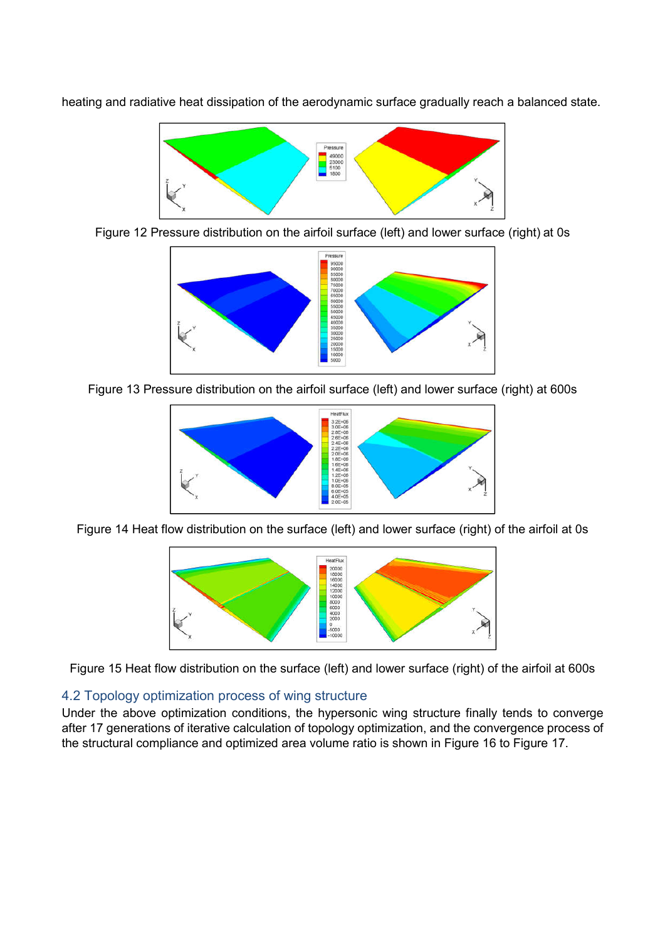Pressure 49000 23000 5100

heating and radiative heat dissipation of the aerodynamic surface gradually reach a balanced state.

Figure 12 Pressure distribution on the airfoil surface (left) and lower surface (right) at 0s



Figure 13 Pressure distribution on the airfoil surface (left) and lower surface (right) at 600s



Figure 14 Heat flow distribution on the surface (left) and lower surface (right) of the airfoil at 0s



Figure 15 Heat flow distribution on the surface (left) and lower surface (right) of the airfoil at 600s

### 4.2 Topology optimization process of wing structure

Under the above optimization conditions, the hypersonic wing structure finally tends to converge after 17 generations of iterative calculation of topology optimization, and the convergence process of the structural compliance and optimized area volume ratio is shown in Figure 16 to Figure 17.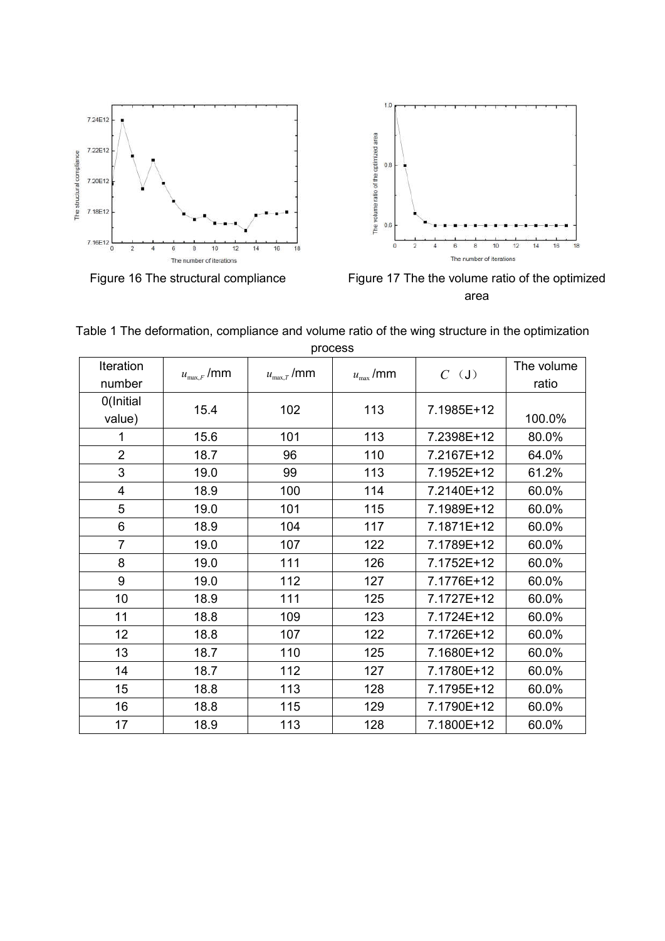



Figure 16 The structural compliance Figure 17 The the volume ratio of the optimized area

| process             |                                       |                                       |                                     |            |                     |  |  |
|---------------------|---------------------------------------|---------------------------------------|-------------------------------------|------------|---------------------|--|--|
| Iteration<br>number | $u_{\scriptscriptstyle\rm max,F}$ /mm | $u_{\scriptscriptstyle\rm max,T}$ /mm | $u_{\scriptscriptstyle\rm max}$ /mm | $C$ (J)    | The volume<br>ratio |  |  |
| 0(Initial<br>value) | 15.4                                  | 102                                   | 113                                 | 7.1985E+12 | 100.0%              |  |  |
| 1                   | 15.6                                  | 101                                   | 113                                 | 7.2398E+12 | 80.0%               |  |  |
| $\overline{2}$      | 18.7                                  | 96                                    | 110                                 | 7.2167E+12 | 64.0%               |  |  |
| 3                   | 19.0                                  | 99                                    | 113                                 | 7.1952E+12 | 61.2%               |  |  |
| 4                   | 18.9                                  | 100                                   | 114                                 | 7.2140E+12 | 60.0%               |  |  |
| 5                   | 19.0                                  | 101                                   | 115                                 | 7.1989E+12 | 60.0%               |  |  |
| 6                   | 18.9                                  | 104                                   | 117                                 | 7.1871E+12 | 60.0%               |  |  |
| $\overline{7}$      | 19.0                                  | 107                                   | 122                                 | 7.1789E+12 | 60.0%               |  |  |
| 8                   | 19.0                                  | 111                                   | 126                                 | 7.1752E+12 | 60.0%               |  |  |
| 9                   | 19.0                                  | 112                                   | 127                                 | 7.1776E+12 | 60.0%               |  |  |
| 10                  | 18.9                                  | 111                                   | 125                                 | 7.1727E+12 | 60.0%               |  |  |
| 11                  | 18.8                                  | 109                                   | 123                                 | 7.1724E+12 | 60.0%               |  |  |
| 12                  | 18.8                                  | 107                                   | 122                                 | 7.1726E+12 | 60.0%               |  |  |
| 13                  | 18.7                                  | 110                                   | 125                                 | 7.1680E+12 | 60.0%               |  |  |
| 14                  | 18.7                                  | 112                                   | 127                                 | 7.1780E+12 | 60.0%               |  |  |
| 15                  | 18.8                                  | 113                                   | 128                                 | 7.1795E+12 | 60.0%               |  |  |
| 16                  | 18.8                                  | 115                                   | 129                                 | 7.1790E+12 | 60.0%               |  |  |
| 17                  | 18.9                                  | 113                                   | 128                                 | 7.1800E+12 | 60.0%               |  |  |

| Table 1 The deformation, compliance and volume ratio of the wing structure in the optimization |         |  |  |
|------------------------------------------------------------------------------------------------|---------|--|--|
|                                                                                                | process |  |  |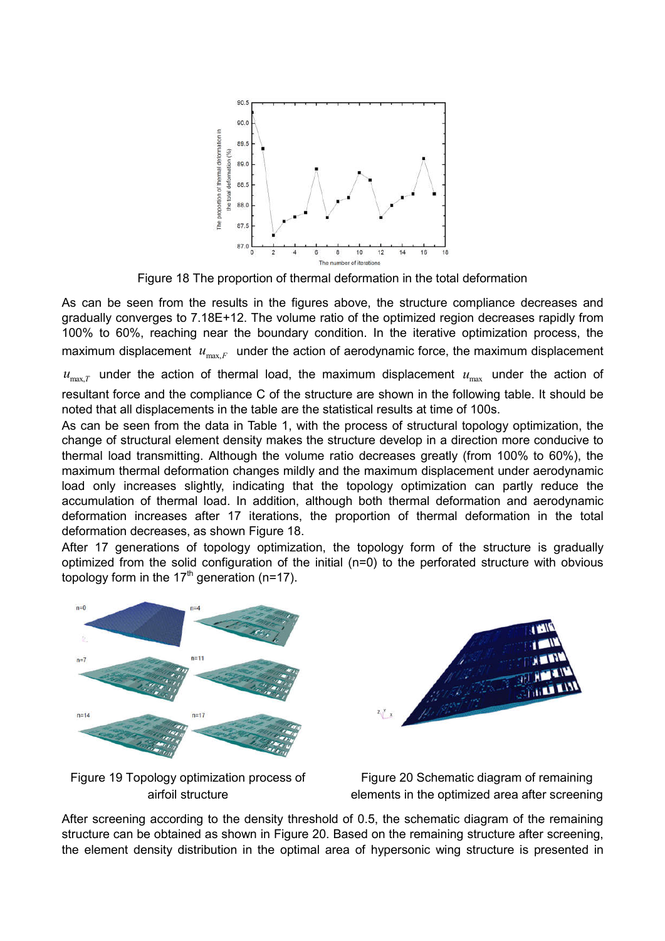

Figure 18 The proportion of thermal deformation in the total deformation

As can be seen from the results in the figures above, the structure compliance decreases and gradually converges to 7.18E+12. The volume ratio of the optimized region decreases rapidly from 100% to 60%, reaching near the boundary condition. In the iterative optimization process, the maximum displacement  $u_{\text{max},F}$  under the action of aerodynamic force, the maximum displacement

 $u_{\text{max}}$  *u* under the action of thermal load, the maximum displacement  $u_{\text{max}}$  under the action of resultant force and the compliance C of the structure are shown in the following table. It should be noted that all displacements in the table are the statistical results at time of 100s.

As can be seen from the data in Table 1, with the process of structural topology optimization, the change of structural element density makes the structure develop in a direction more conducive to thermal load transmitting. Although the volume ratio decreases greatly (from 100% to 60%), the maximum thermal deformation changes mildly and the maximum displacement under aerodynamic load only increases slightly, indicating that the topology optimization can partly reduce the accumulation of thermal load. In addition, although both thermal deformation and aerodynamic deformation increases after 17 iterations, the proportion of thermal deformation in the total deformation decreases, as shown Figure 18.

After 17 generations of topology optimization, the topology form of the structure is gradually optimized from the solid configuration of the initial (n=0) to the perforated structure with obvious topology form in the 17<sup>th</sup> generation (n=17).



Figure 19 Topology optimization process of airfoil structure



After screening according to the density threshold of 0.5, the schematic diagram of the remaining structure can be obtained as shown in Figure 20. Based on the remaining structure after screening, the element density distribution in the optimal area of hypersonic wing structure is presented in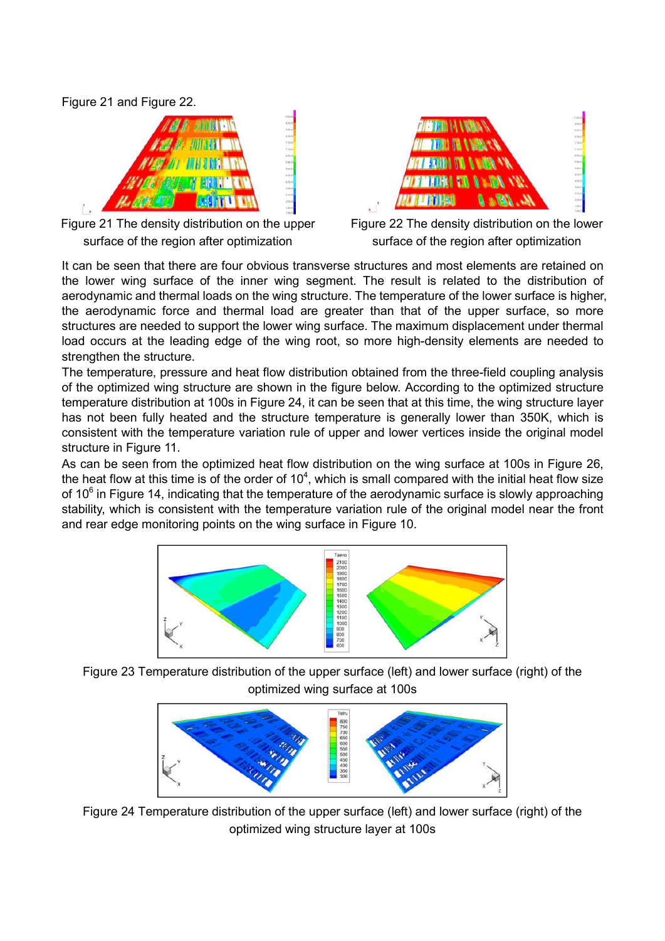Figure 21 and Figure 22.







Figure 22 The density distribution on the lower surface of the region after optimization

It can be seen that there are four obvious transverse structures and most elements are retained on the lower wing surface of the inner wing segment. The result is related to the distribution of aerodynamic and thermal loads on the wing structure. The temperature of the lower surface is higher, the aerodynamic force and thermal load are greater than that of the upper surface, so more structures are needed to support the lower wing surface. The maximum displacement under thermal load occurs at the leading edge of the wing root, so more high-density elements are needed to strengthen the structure.

The temperature, pressure and heat flow distribution obtained from the three-field coupling analysis of the optimized wing structure are shown in the figure below. According to the optimized structure temperature distribution at 100s in Figure 24, it can be seen that at this time, the wing structure layer has not been fully heated and the structure temperature is generally lower than 350K, which is consistent with the temperature variation rule of upper and lower vertices inside the original model structure in Figure 11.

As can be seen from the optimized heat flow distribution on the wing surface at 100s in Figure 26, the heat flow at this time is of the order of 10<sup>4</sup>, which is small compared with the initial heat flow size of  $10<sup>6</sup>$  in Figure 14, indicating that the temperature of the aerodynamic surface is slowly approaching stability, which is consistent with the temperature variation rule of the original model near the front and rear edge monitoring points on the wing surface in Figure 10.



Figure 23 Temperature distribution of the upper surface (left) and lower surface (right) of the optimized wing surface at 100s



Figure 24 Temperature distribution of the upper surface (left) and lower surface (right) of the optimized wing structure layer at 100s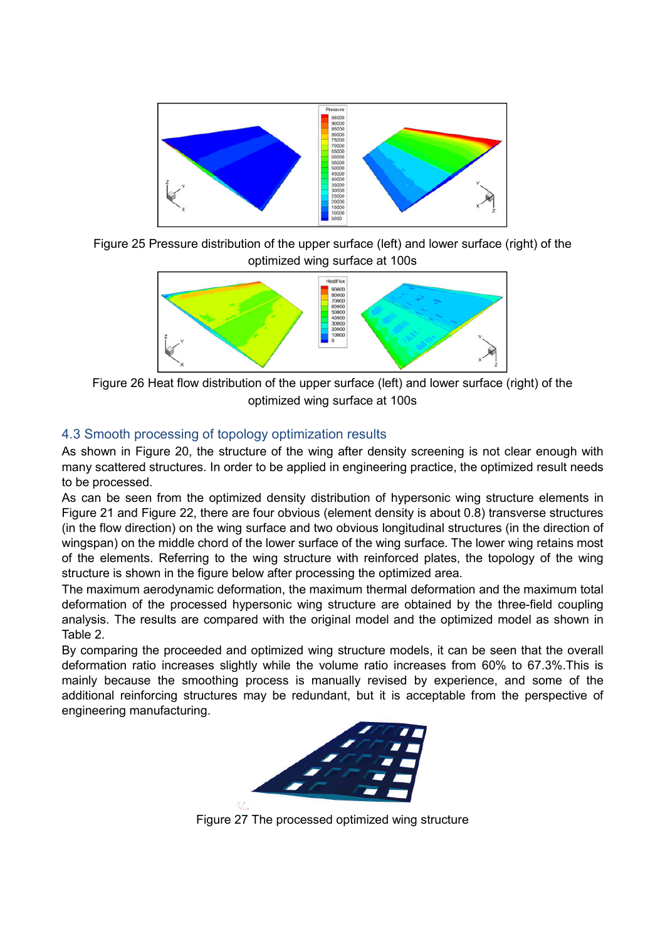

Figure 25 Pressure distribution of the upper surface (left) and lower surface (right) of the optimized wing surface at 100s



Figure 26 Heat flow distribution of the upper surface (left) and lower surface (right) of the optimized wing surface at 100s

# 4.3 Smooth processing of topology optimization results

As shown in Figure 20, the structure of the wing after density screening is not clear enough with many scattered structures. In order to be applied in engineering practice, the optimized result needs to be processed.

As can be seen from the optimized density distribution of hypersonic wing structure elements in Figure 21 and Figure 22, there are four obvious (element density is about 0.8) transverse structures (in the flow direction) on the wing surface and two obvious longitudinal structures (in the direction of wingspan) on the middle chord of the lower surface of the wing surface. The lower wing retains most of the elements. Referring to the wing structure with reinforced plates, the topology of the wing structure is shown in the figure below after processing the optimized area.

The maximum aerodynamic deformation, the maximum thermal deformation and the maximum total deformation of the processed hypersonic wing structure are obtained by the three-field coupling analysis. The results are compared with the original model and the optimized model as shown in Table 2.

By comparing the proceeded and optimized wing structure models, it can be seen that the overall deformation ratio increases slightly while the volume ratio increases from 60% to 67.3%.This is mainly because the smoothing process is manually revised by experience, and some of the additional reinforcing structures may be redundant, but it is acceptable from the perspective of engineering manufacturing.



Figure 27 The processed optimized wing structure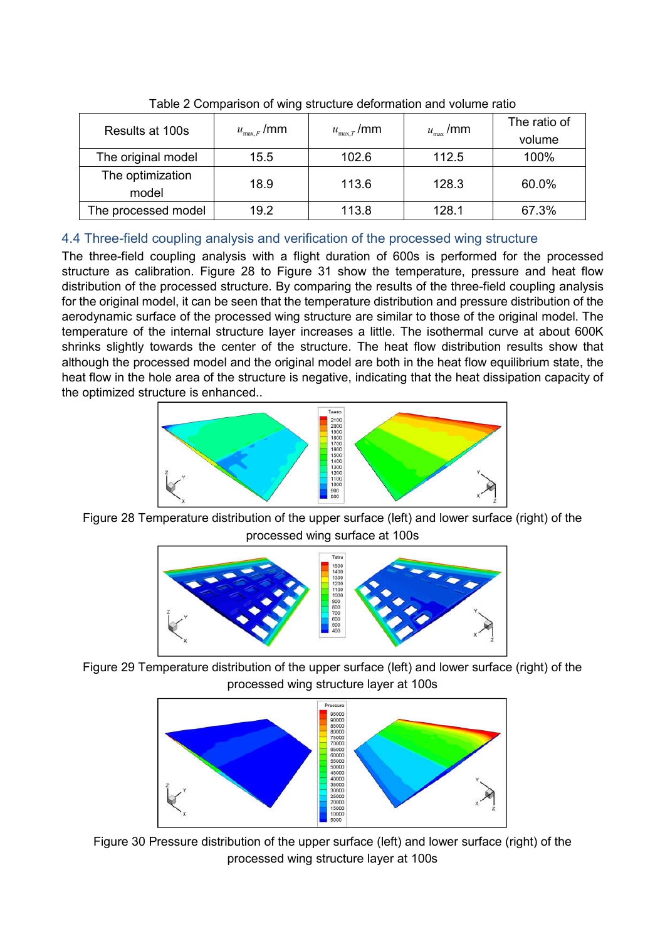| Results at 100s           | $u_{\max,F}$ /mm | $u_{\mathrm{max},T}^{}$ /mm | $u_{\rm max}$ /mm | The ratio of<br>volume |  |  |
|---------------------------|------------------|-----------------------------|-------------------|------------------------|--|--|
| The original model        | 15.5             | 102.6                       | 112.5             | 100%                   |  |  |
| The optimization<br>model | 18.9             | 113.6                       | 128.3             | 60.0%                  |  |  |
| The processed model       | 19.2             | 113.8                       | 128.1             | 67.3%                  |  |  |

Table 2 Comparison of wing structure deformation and volume ratio

# 4.4 Three-field coupling analysis and verification of the processed wing structure

The three-field coupling analysis with a flight duration of 600s is performed for the processed structure as calibration. Figure 28 to Figure 31 show the temperature, pressure and heat flow distribution of the processed structure. By comparing the results of the three-field coupling analysis for the original model, it can be seen that the temperature distribution and pressure distribution of the aerodynamic surface of the processed wing structure are similar to those of the original model. The temperature of the internal structure layer increases a little. The isothermal curve at about 600K shrinks slightly towards the center of the structure. The heat flow distribution results show that although the processed model and the original model are both in the heat flow equilibrium state, the heat flow in the hole area of the structure is negative, indicating that the heat dissipation capacity of the optimized structure is enhanced..



Figure 28 Temperature distribution of the upper surface (left) and lower surface (right) of the processed wing surface at 100s



Figure 29 Temperature distribution of the upper surface (left) and lower surface (right) of the processed wing structure layer at 100s



Figure 30 Pressure distribution of the upper surface (left) and lower surface (right) of the processed wing structure layer at 100s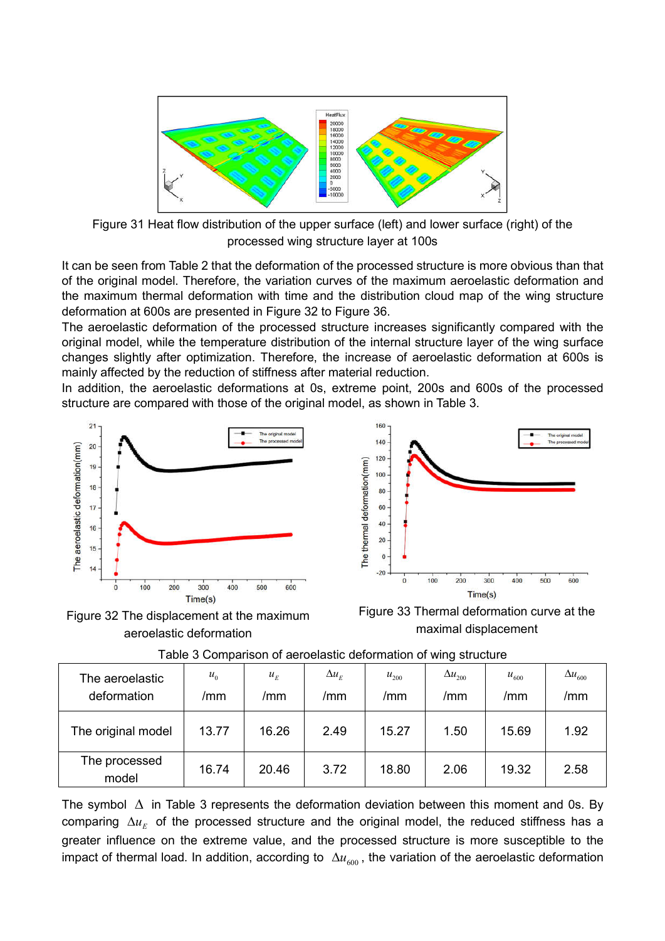

Figure 31 Heat flow distribution of the upper surface (left) and lower surface (right) of the processed wing structure layer at 100s

It can be seen from Table 2 that the deformation of the processed structure is more obvious than that of the original model. Therefore, the variation curves of the maximum aeroelastic deformation and the maximum thermal deformation with time and the distribution cloud map of the wing structure deformation at 600s are presented in Figure 32 to Figure 36.

The aeroelastic deformation of the processed structure increases significantly compared with the original model, while the temperature distribution of the internal structure layer of the wing surface changes slightly after optimization. Therefore, the increase of aeroelastic deformation at 600s is mainly affected by the reduction of stiffness after material reduction.

In addition, the aeroelastic deformations at 0s, extreme point, 200s and 600s of the processed structure are compared with those of the original model, as shown in Table 3.



Figure 32 The displacement at the maximum aeroelastic deformation



Figure 33 Thermal deformation curve at the maximal displacement

| The aeroelastic<br>deformation | $u_{0}$<br>/mm | $u_F$<br>/mm | $\Delta u_E$<br>/mm | $u_{200}$<br>/mm | $\Delta u_{200}$<br>/mm | $u_{600}$<br>/mm | $\Delta u_{600}$<br>/mm |
|--------------------------------|----------------|--------------|---------------------|------------------|-------------------------|------------------|-------------------------|
| The original model             | 13.77          | 16.26        | 2.49                | 15.27            | 1.50                    | 15.69            | 1.92                    |
| The processed<br>model         | 16.74          | 20.46        | 3.72                | 18.80            | 2.06                    | 19.32            | 2.58                    |

Table 3 Comparison of aeroelastic deformation of wing structure

The symbol  $\Delta$  in Table 3 represents the deformation deviation between this moment and 0s. By comparing  $\Delta u_E$  of the processed structure and the original model, the reduced stiffness has a greater influence on the extreme value, and the processed structure is more susceptible to the impact of thermal load. In addition, according to  $\Delta u_{600}$ , the variation of the aeroelastic deformation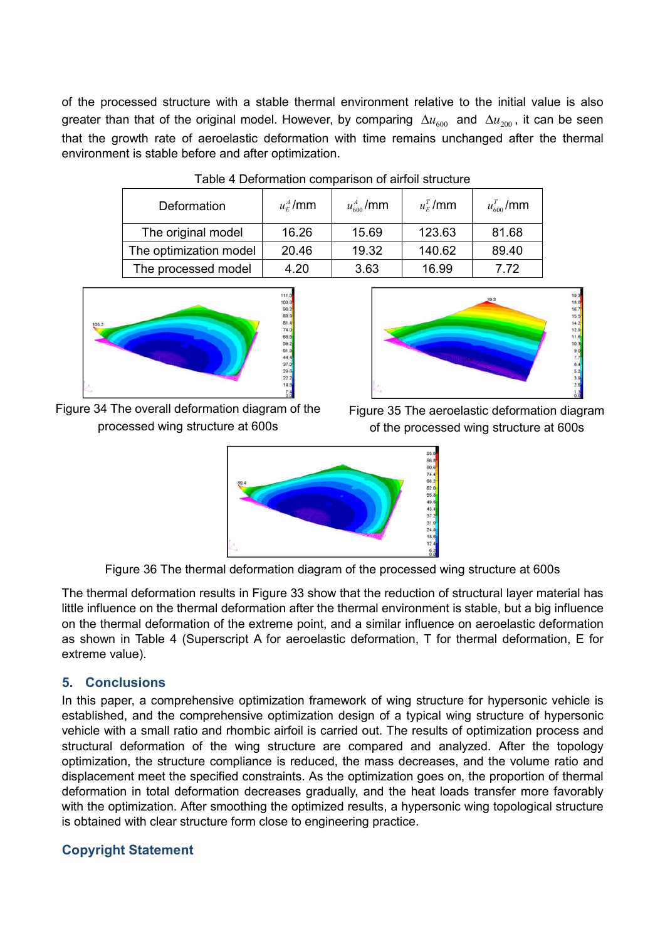of the processed structure with a stable thermal environment relative to the initial value is also greater than that of the original model. However, by comparing  $\Delta u_{600}$  and  $\Delta u_{200}$ , it can be seen that the growth rate of aeroelastic deformation with time remains unchanged after the thermal environment is stable before and after optimization.

| Deformation            | $u_{\rm E}^{\rm A}$ /mm | $u_{600}^{A}$ /mm | $u_{\scriptscriptstyle E}^{\scriptscriptstyle T}$ /mm | $u_{600}^{T}$ /mm |
|------------------------|-------------------------|-------------------|-------------------------------------------------------|-------------------|
| The original model     | 16.26                   | 15.69             | 123.63                                                | 81.68             |
| The optimization model | 20.46                   | 19.32             | 140.62                                                | 89.40             |
| The processed model    | 4.20                    | 3.63              | 16.99                                                 | 7 72              |





Figure 34 The overall deformation diagram of the processed wing structure at 600s



Figure 35 The aeroelastic deformation diagram of the processed wing structure at 600s



Figure 36 The thermal deformation diagram of the processed wing structure at 600s

The thermal deformation results in Figure 33 show that the reduction of structural layer material has little influence on the thermal deformation after the thermal environment is stable, but a big influence on the thermal deformation of the extreme point, and a similar influence on aeroelastic deformation as shown in Table 4 (Superscript A for aeroelastic deformation, T for thermal deformation, E for extreme value).

# **5. Conclusions**

In this paper, a comprehensive optimization framework of wing structure for hypersonic vehicle is established, and the comprehensive optimization design of a typical wing structure of hypersonic vehicle with a small ratio and rhombic airfoil is carried out. The results of optimization process and structural deformation of the wing structure are compared and analyzed. After the topology optimization, the structure compliance is reduced, the mass decreases, and the volume ratio and displacement meet the specified constraints. As the optimization goes on, the proportion of thermal deformation in total deformation decreases gradually, and the heat loads transfer more favorably with the optimization. After smoothing the optimized results, a hypersonic wing topological structure is obtained with clear structure form close to engineering practice.

# **Copyright Statement**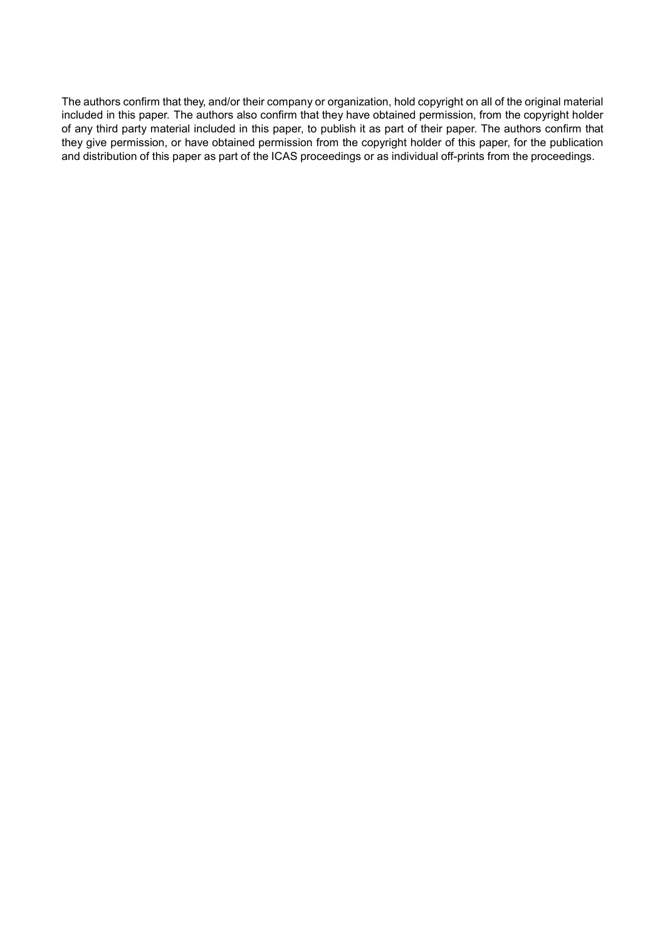The authors confirm that they, and/or their company or organization, hold copyright on all of the original material included in this paper. The authors also confirm that they have obtained permission, from the copyright holder of any third party material included in this paper, to publish it as part of their paper. The authors confirm that they give permission, or have obtained permission from the copyright holder of this paper, for the publication and distribution of this paper as part of the ICAS proceedings or as individual off-prints from the proceedings.